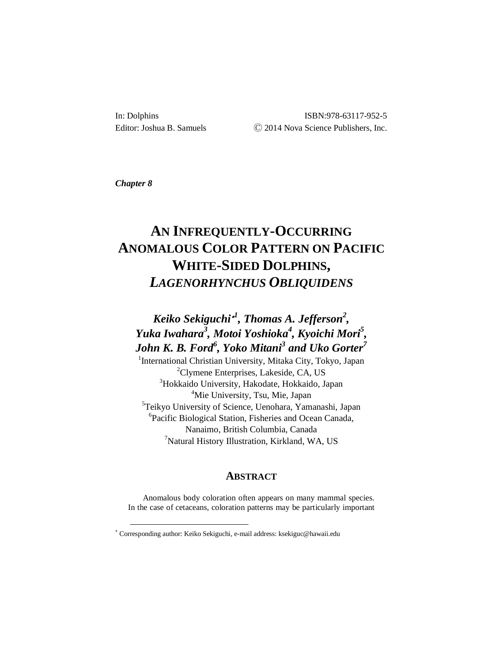In: Dolphins ISBN:978-63117-952-5 Editor: Joshua B. Samuels  $\odot$  2014 Nova Science Publishers, Inc.

*Chapter 8*

-

# **AN INFREQUENTLY-OCCURRING ANOMALOUS COLOR PATTERN ON PACIFIC WHITE-SIDED DOLPHINS,** *LAGENORHYNCHUS OBLIQUIDENS*

## *Keiko Sekiguchi*[∗](#page-0-0) *1 , Thomas A. Jefferson<sup>2</sup> , Yuka Iwahara3 , Motoi Yoshioka<sup>4</sup> , Kyoichi Mori5 , John K. B. Ford<sup>6</sup> , Yoko Mitani3 and Uko Gorter7*

<sup>1</sup>International Christian University, Mitaka City, Tokyo, Japan Clymene Enterprises, Lakeside, CA, US Hokkaido University, Hakodate, Hokkaido, Japan Mie University, Tsu, Mie, Japan Teikyo University of Science, Uenohara, Yamanashi, Japan Pacific Biological Station, Fisheries and Ocean Canada, Nanaimo, British Columbia, Canada <sup>7</sup>Natural History Illustration, Kirkland, WA, US

### **ABSTRACT**

Anomalous body coloration often appears on many mammal species. In the case of cetaceans, coloration patterns may be particularly important

<span id="page-0-0"></span><sup>∗</sup> Corresponding author: Keiko Sekiguchi, e-mail address: ksekiguc@hawaii.edu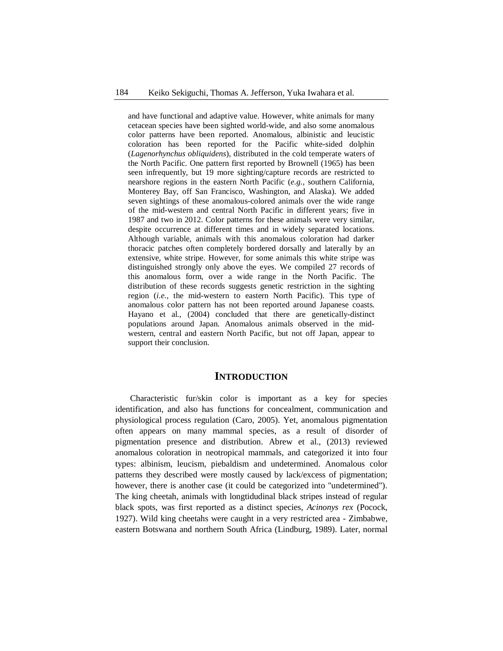and have functional and adaptive value. However, white animals for many cetacean species have been sighted world-wide, and also some anomalous color patterns have been reported. Anomalous, albinistic and leucistic coloration has been reported for the Pacific white-sided dolphin (*Lagenorhynchus obliquidens*), distributed in the cold temperate waters of the North Pacific. One pattern first reported by Brownell (1965) has been seen infrequently, but 19 more sighting/capture records are restricted to nearshore regions in the eastern North Pacific (*e.g.,* southern California, Monterey Bay, off San Francisco, Washington, and Alaska). We added seven sightings of these anomalous-colored animals over the wide range of the mid-western and central North Pacific in different years; five in 1987 and two in 2012. Color patterns for these animals were very similar, despite occurrence at different times and in widely separated locations. Although variable, animals with this anomalous coloration had darker thoracic patches often completely bordered dorsally and laterally by an extensive, white stripe. However, for some animals this white stripe was distinguished strongly only above the eyes. We compiled 27 records of this anomalous form, over a wide range in the North Pacific. The distribution of these records suggests genetic restriction in the sighting region (*i.e.,* the mid-western to eastern North Pacific). This type of anomalous color pattern has not been reported around Japanese coasts. Hayano et al., (2004) concluded that there are genetically-distinct populations around Japan. Anomalous animals observed in the midwestern, central and eastern North Pacific, but not off Japan, appear to support their conclusion.

### **INTRODUCTION**

Characteristic fur/skin color is important as a key for species identification, and also has functions for concealment, communication and physiological process regulation (Caro, 2005). Yet, anomalous pigmentation often appears on many mammal species, as a result of disorder of pigmentation presence and distribution. Abrew et al., (2013) reviewed anomalous coloration in neotropical mammals, and categorized it into four types: albinism, leucism, piebaldism and undetermined. Anomalous color patterns they described were mostly caused by lack/excess of pigmentation; however, there is another case (it could be categorized into "undetermined"). The king cheetah, animals with longtidudinal black stripes instead of regular black spots, was first reported as a distinct species, *Acinonys rex* (Pocock, 1927). Wild king cheetahs were caught in a very restricted area - Zimbabwe, eastern Botswana and northern South Africa (Lindburg, 1989). Later, normal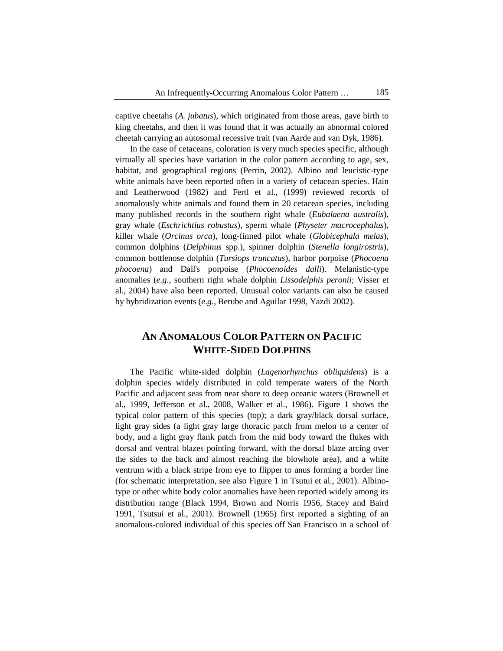captive cheetahs (*A. jubatus*), which originated from those areas, gave birth to king cheetahs, and then it was found that it was actually an abnormal colored cheetah carrying an autosomal recessive trait (van Aarde and van Dyk, 1986).

In the case of cetaceans, coloration is very much species specific, although virtually all species have variation in the color pattern according to age, sex, habitat, and geographical regions (Perrin, 2002). Albino and leucistic-type white animals have been reported often in a variety of cetacean species. Hain and Leatherwood (1982) and Fertl et al., (1999) reviewed records of anomalously white animals and found them in 20 cetacean species, including many published records in the southern right whale (*Eubalaena australis*), gray whale (*Eschrichtius robustus*), sperm whale (*Physeter macrocephalus*), killer whale (*Orcinus orca*), long-finned pilot whale (*Globicephala melas*), common dolphins (*Delphinus* spp*.*), spinner dolphin (*Stenella longirostris*), common bottlenose dolphin (*Tursiops truncatus*), harbor porpoise (*Phocoena phocoena*) and Dall's porpoise (*Phocoenoides dalli*). Melanistic-type anomalies (*e.g.*, southern right whale dolphin *Lissodelphis peronii*; Visser et al., 2004) have also been reported. Unusual color variants can also be caused by hybridization events (*e.g.*, Berube and Aguilar 1998, Yazdi 2002).

### **AN ANOMALOUS COLOR PATTERN ON PACIFIC WHITE-SIDED DOLPHINS**

The Pacific white-sided dolphin (*Lagenorhynchus obliquidens*) is a dolphin species widely distributed in cold temperate waters of the North Pacific and adjacent seas from near shore to deep oceanic waters (Brownell et al., 1999, Jefferson et al., 2008, Walker et al., 1986). Figure 1 shows the typical color pattern of this species (top); a dark gray/black dorsal surface, light gray sides (a light gray large thoracic patch from melon to a center of body, and a light gray flank patch from the mid body toward the flukes with dorsal and ventral blazes pointing forward, with the dorsal blaze arcing over the sides to the back and almost reaching the blowhole area), and a white ventrum with a black stripe from eye to flipper to anus forming a border line (for schematic interpretation, see also Figure 1 in Tsutui et al., 2001). Albinotype or other white body color anomalies have been reported widely among its distribution range (Black 1994, Brown and Norris 1956, Stacey and Baird 1991, Tsutsui et al., 2001). Brownell (1965) first reported a sighting of an anomalous-colored individual of this species off San Francisco in a school of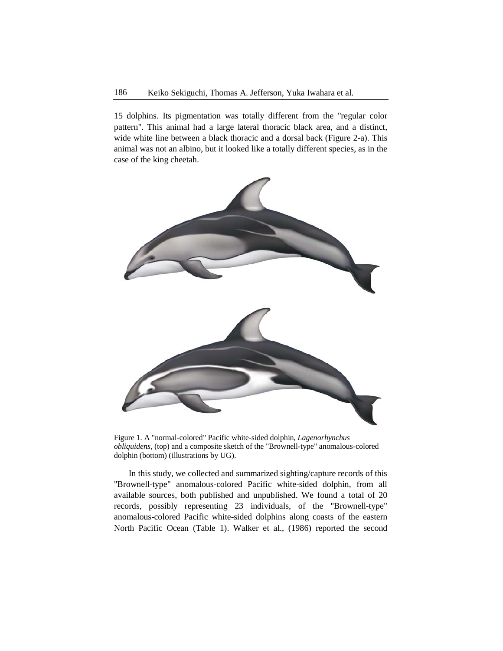15 dolphins. Its pigmentation was totally different from the "regular color pattern". This animal had a large lateral thoracic black area, and a distinct, wide white line between a black thoracic and a dorsal back (Figure 2-a). This animal was not an albino, but it looked like a totally different species, as in the case of the king cheetah.



Figure 1. A "normal-colored" Pacific white-sided dolphin, *Lagenorhynchus obliquidens,* (top) and a composite sketch of the "Brownell-type" anomalous-colored dolphin (bottom) (illustrations by UG).

In this study, we collected and summarized sighting/capture records of this "Brownell-type" anomalous-colored Pacific white-sided dolphin, from all available sources, both published and unpublished. We found a total of 20 records, possibly representing 23 individuals, of the "Brownell-type" anomalous-colored Pacific white-sided dolphins along coasts of the eastern North Pacific Ocean (Table 1). Walker et al., (1986) reported the second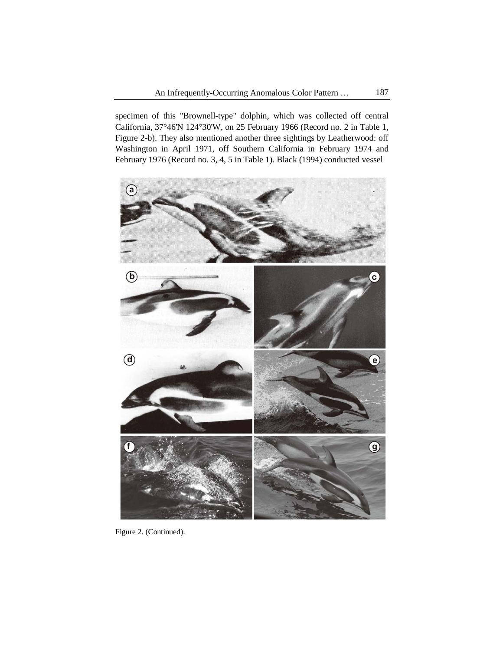specimen of this "Brownell-type" dolphin, which was collected off central California, 37°46'N 124°30'W, on 25 February 1966 (Record no. 2 in Table 1, Figure 2-b). They also mentioned another three sightings by Leatherwood: off Washington in April 1971, off Southern California in February 1974 and February 1976 (Record no. 3, 4, 5 in Table 1). Black (1994) conducted vessel



Figure 2. (Continued).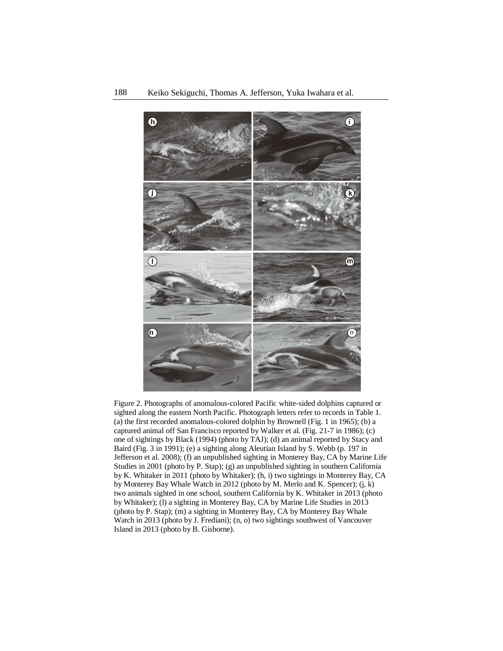

Figure 2. Photographs of anomalous-colored Pacific white-sided dolphins captured or sighted along the eastern North Pacific. Photograph letters refer to records in Table 1. (a) the first recorded anomalous-colored dolphin by Brownell (Fig. 1 in 1965); (b) a captured animal off San Francisco reported by Walker et al. (Fig. 21-7 in 1986); (c) one of sightings by Black (1994) (photo by TAJ); (d) an animal reported by Stacy and Baird (Fig. 3 in 1991); (e) a sighting along Aleutian Island by S. Webb (p. 197 in Jefferson et al. 2008); (f) an unpublished sighting in Monterey Bay, CA by Marine Life Studies in 2001 (photo by P. Stap); (g) an unpublished sighting in southern California by K. Whitaker in 2011 (photo by Whitaker); (h, i) two sightings in Monterey Bay, CA by Monterey Bay Whale Watch in 2012 (photo by M. Merlo and K. Spencer); (j, k) two animals sighted in one school, southern California by K. Whitaker in 2013 (photo by Whitaker); (l) a sighting in Monterey Bay, CA by Marine Life Studies in 2013 (photo by P. Stap); (m) a sighting in Monterey Bay, CA by Monterey Bay Whale Watch in 2013 (photo by J. Frediani); (n, o) two sightings southwest of Vancouver Island in 2013 (photo by B. Gisborne).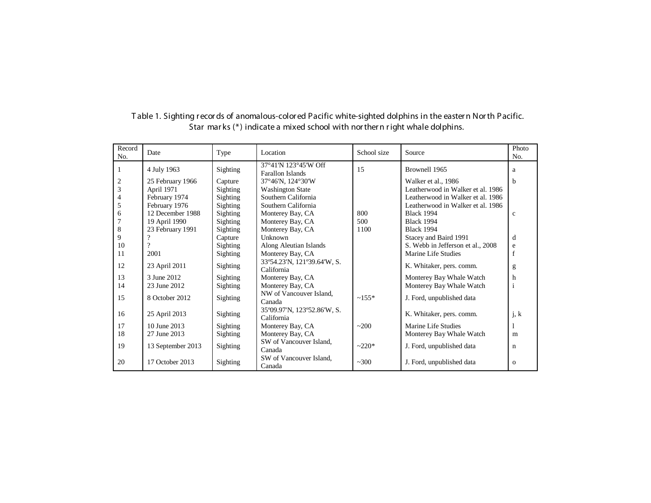| Record<br>No. | Date              | Type     | Location                                        | School size | Source                            | Photo<br>No. |
|---------------|-------------------|----------|-------------------------------------------------|-------------|-----------------------------------|--------------|
|               | 4 July 1963       | Sighting | 37°41'N 123°45'W Off<br><b>Farallon Islands</b> | 15          | Brownell 1965                     | a            |
| 2             | 25 February 1966  | Capture  | 37°46'N, 124°30'W                               |             | Walker et al., 1986               | b            |
| 3             | April 1971        | Sighting | <b>Washington State</b>                         |             | Leatherwood in Walker et al. 1986 |              |
|               | February 1974     | Sighting | Southern California                             |             | Leatherwood in Walker et al. 1986 |              |
| 5             | February 1976     | Sighting | Southern California                             |             | Leatherwood in Walker et al. 1986 |              |
| 6             | 12 December 1988  | Sighting | Monterey Bay, CA                                | 800         | <b>Black 1994</b>                 | $\mathbf c$  |
|               | 19 April 1990     | Sighting | Monterey Bay, CA                                | 500         | <b>Black 1994</b>                 |              |
| 8             | 23 February 1991  | Sighting | Monterey Bay, CA                                | 1100        | <b>Black 1994</b>                 |              |
| 9             |                   | Capture  | Unknown                                         |             | Stacey and Baird 1991             | d            |
| 10            |                   | Sighting | Along Aleutian Islands                          |             | S. Webb in Jefferson et al., 2008 | e            |
| 11            | 2001              | Sighting | Monterey Bay, CA                                |             | Marine Life Studies               |              |
| 12            | 23 April 2011     | Sighting | 33°54.23'N, 121°39.64'W, S.<br>California       |             | K. Whitaker, pers. comm.          | g            |
| 13            | 3 June 2012       | Sighting | Monterey Bay, CA                                |             | Monterey Bay Whale Watch          | h            |
| 14            | 23 June 2012      | Sighting | Monterey Bay, CA                                |             | Monterey Bay Whale Watch          |              |
| 15            | 8 October 2012    | Sighting | NW of Vancouver Island.<br>Canada               | $~155*$     | J. Ford, unpublished data         |              |
| 16            | 25 April 2013     | Sighting | 35°09.97'N, 123°52.86'W, S.<br>California       |             | K. Whitaker, pers. comm.          | j, k         |
| 17            | 10 June 2013      | Sighting | Monterey Bay, CA                                | ~200        | Marine Life Studies               |              |
| 18            | 27 June 2013      | Sighting | Monterey Bay, CA                                |             | Monterey Bay Whale Watch          | m            |
| 19            | 13 September 2013 | Sighting | SW of Vancouver Island.<br>Canada               | $-220*$     | J. Ford, unpublished data         | n            |
| 20            | 17 October 2013   | Sighting | SW of Vancouver Island.<br>Canada               | ~2300       | J. Ford, unpublished data         | $\mathbf{o}$ |

T able 1. Sighting r ecor ds of anomalous-color ed Pacific white-sighted dolphins in the easter n Nor th Pacific. Star mar ks (\*) indicate a mixed school with nor ther n r ight whale dolphins.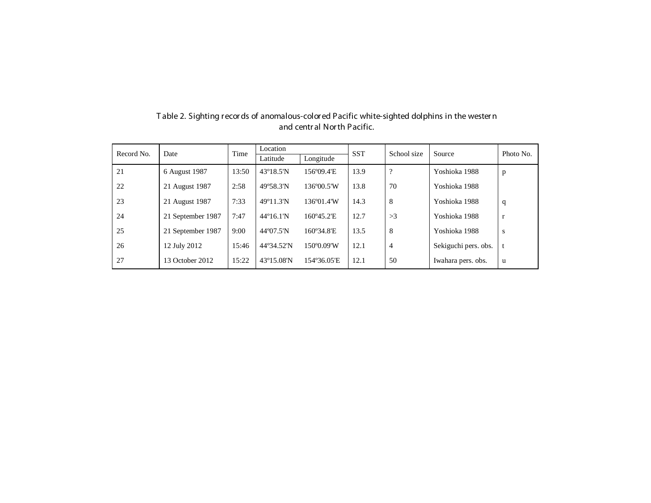| Record No. | Date              | Time  | Location                   |                     | <b>SST</b> | School size    | Source               | Photo No.    |
|------------|-------------------|-------|----------------------------|---------------------|------------|----------------|----------------------|--------------|
|            |                   |       | Latitude                   | Longitude           |            |                |                      |              |
| 21         | 6 August 1987     | 13:50 | $43^{\circ}18.5^{\prime}N$ | 156°09.4'E          | 13.9       | $\Omega$       | Yoshioka 1988        | p            |
| 22         | 21 August 1987    | 2:58  | 49°58.3'N                  | 136°00.5'W          | 13.8       | 70             | Yoshioka 1988        |              |
| 23         | 21 August 1987    | 7:33  | $49^{\circ}11.3^{\prime}N$ | 136°01.4'W          | 14.3       | 8              | Yoshioka 1988        | q            |
| 24         | 21 September 1987 | 7:47  | $44^{\circ}16.1^{\circ}N$  | 160°45.2'E          | 12.7       | >3             | Yoshioka 1988        | $\mathbf{r}$ |
| 25         | 21 September 1987 | 9:00  | 44° (07.5"N                | $160^{\circ}34.8$ E | 13.5       | 8              | Yoshioka 1988        | S            |
| 26         | 12 July 2012      | 15:46 | 44°34.52'N                 | 150°0.09'W          | 12.1       | $\overline{4}$ | Sekiguchi pers. obs. |              |
| 27         | 13 October 2012   | 15:22 | 43°15.08'N                 | 154°36.05'E         | 12.1       | 50             | Iwahara pers. obs.   | u            |

T able 2. Sighting r ecor ds of anomalous-color ed Pacific white-sighted dolphins in the wester n and centr al Nor th Pacific.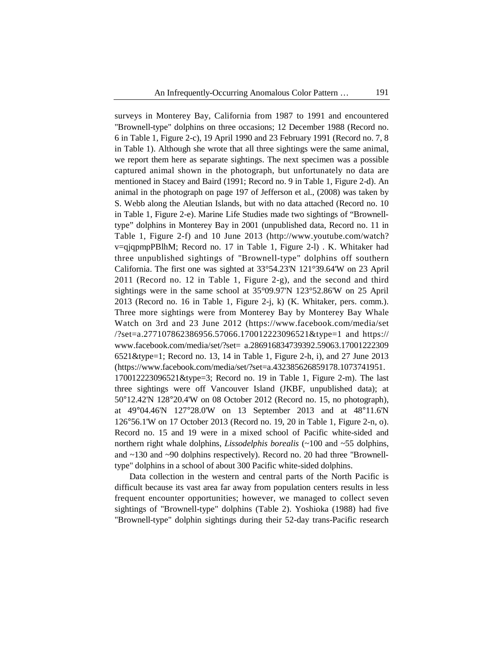surveys in Monterey Bay, California from 1987 to 1991 and encountered "Brownell-type" dolphins on three occasions; 12 December 1988 (Record no. 6 in Table 1, Figure 2-c), 19 April 1990 and 23 February 1991 (Record no. 7, 8 in Table 1). Although she wrote that all three sightings were the same animal, we report them here as separate sightings. The next specimen was a possible captured animal shown in the photograph, but unfortunately no data are mentioned in Stacey and Baird (1991; Record no. 9 in Table 1, Figure 2-d). An animal in the photograph on page 197 of Jefferson et al., (2008) was taken by S. Webb along the Aleutian Islands, but with no data attached (Record no. 10 in Table 1, Figure 2-e). Marine Life Studies made two sightings of "Brownelltype" dolphins in Monterey Bay in 2001 (unpublished data, Record no. 11 in Table 1, Figure 2-f) and 10 June 2013 (http://www.youtube.com/watch? v=qjqpmpPBlhM; Record no. 17 in Table 1, Figure 2-l) . K. Whitaker had three unpublished sightings of "Brownell-type" dolphins off southern California. The first one was sighted at 33°54.23'N 121°39.64'W on 23 April 2011 (Record no. 12 in Table 1, Figure 2-g), and the second and third sightings were in the same school at 35°09.97'N 123°52.86'W on 25 April 2013 (Record no. 16 in Table 1, Figure 2-j, k) (K. Whitaker, pers. comm.). Three more sightings were from Monterey Bay by Monterey Bay Whale Watch on 3rd and 23 June 2012 (https://www.facebook.com/media/set /?set=a.277107862386956.57066.170012223096521&type=1 and https:// www.facebook.com/media/set/?set= a.286916834739392.59063.17001222309 6521&type=1; Record no. 13, 14 in Table 1, Figure 2-h, i), and 27 June 2013 (https://www.facebook.com/media/set/?set=a.432385626859178.1073741951. 170012223096521&type=3; Record no. 19 in Table 1, Figure 2-m). The last three sightings were off Vancouver Island (JKBF, unpublished data); at 50°12.42'N 128°20.4'W on 08 October 2012 (Record no. 15, no photograph), at 49°04.46'N 127°28.0'W on 13 September 2013 and at 48°11.6'N 126°56.1'W on 17 October 2013 (Record no. 19, 20 in Table 1, Figure 2-n, o). Record no. 15 and 19 were in a mixed school of Pacific white-sided and northern right whale dolphins, *Lissodelphis borealis* (~100 and ~55 dolphins, and ~130 and ~90 dolphins respectively). Record no. 20 had three "Brownelltype" dolphins in a school of about 300 Pacific white-sided dolphins.

Data collection in the western and central parts of the North Pacific is difficult because its vast area far away from population centers results in less frequent encounter opportunities; however, we managed to collect seven sightings of "Brownell-type" dolphins (Table 2). Yoshioka (1988) had five "Brownell-type" dolphin sightings during their 52-day trans-Pacific research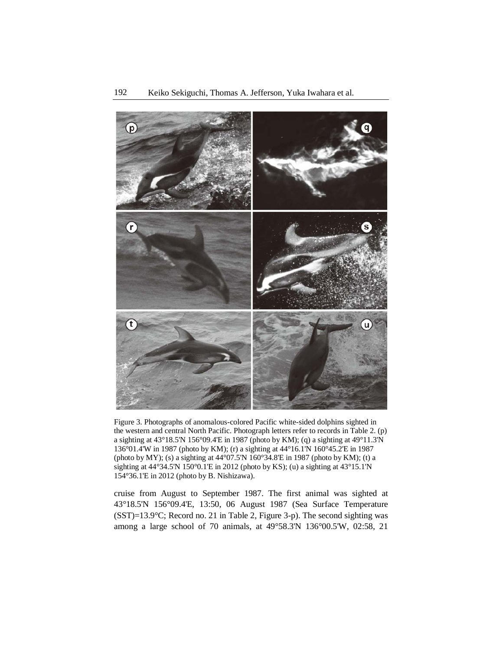

Figure 3. Photographs of anomalous-colored Pacific white-sided dolphins sighted in the western and central North Pacific. Photograph letters refer to records in Table 2. (p) a sighting at 43°18.5'N 156°09.4'E in 1987 (photo by KM); (q) a sighting at 49°11.3'N 136°01.4'W in 1987 (photo by KM); (r) a sighting at 44°16.1'N 160°45.2'E in 1987 (photo by MY); (s) a sighting at 44°07.5'N 160°34.8'E in 1987 (photo by KM); (t) a sighting at 44°34.5'N 150°0.1'E in 2012 (photo by KS); (u) a sighting at 43°15.1'N 154°36.1'E in 2012 (photo by B. Nishizawa).

cruise from August to September 1987. The first animal was sighted at 43°18.5'N 156°09.4'E, 13:50, 06 August 1987 (Sea Surface Temperature (SST)=13.9°C; Record no. 21 in Table 2, Figure 3-p). The second sighting was among a large school of 70 animals, at 49°58.3'N 136°00.5'W, 02:58, 21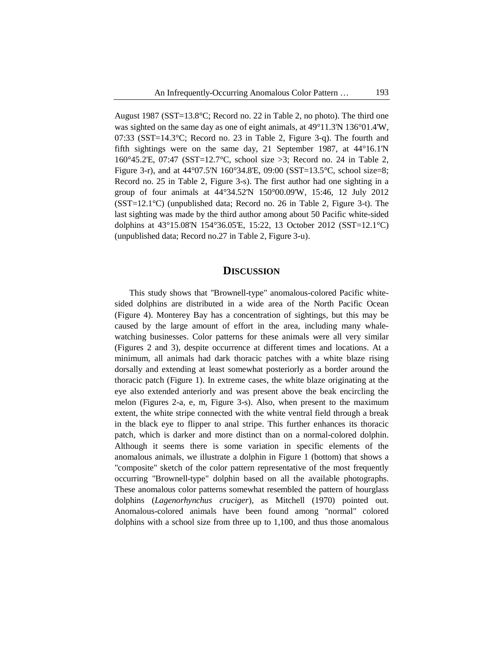August 1987 (SST=13.8°C; Record no. 22 in Table 2, no photo). The third one was sighted on the same day as one of eight animals, at 49°11.3'N 136°01.4'W, 07:33 (SST=14.3°C; Record no. 23 in Table 2, Figure 3-q). The fourth and fifth sightings were on the same day, 21 September 1987, at 44°16.1'N 160°45.2'E, 07:47 (SST=12.7°C, school size >3; Record no. 24 in Table 2, Figure 3-r), and at 44°07.5'N 160°34.8'E, 09:00 (SST=13.5°C, school size=8; Record no. 25 in Table 2, Figure 3-s). The first author had one sighting in a group of four animals at 44°34.52'N 150°00.09'W, 15:46, 12 July 2012 (SST=12.1°C) (unpublished data; Record no. 26 in Table 2, Figure 3-t). The last sighting was made by the third author among about 50 Pacific white-sided dolphins at 43°15.08'N 154°36.05'E, 15:22, 13 October 2012 (SST=12.1°C) (unpublished data; Record no.27 in Table 2, Figure 3-u).

### **DISCUSSION**

This study shows that "Brownell-type" anomalous-colored Pacific whitesided dolphins are distributed in a wide area of the North Pacific Ocean (Figure 4). Monterey Bay has a concentration of sightings, but this may be caused by the large amount of effort in the area, including many whalewatching businesses. Color patterns for these animals were all very similar (Figures 2 and 3), despite occurrence at different times and locations. At a minimum, all animals had dark thoracic patches with a white blaze rising dorsally and extending at least somewhat posteriorly as a border around the thoracic patch (Figure 1). In extreme cases, the white blaze originating at the eye also extended anteriorly and was present above the beak encircling the melon (Figures 2-a, e, m, Figure 3-s). Also, when present to the maximum extent, the white stripe connected with the white ventral field through a break in the black eye to flipper to anal stripe. This further enhances its thoracic patch, which is darker and more distinct than on a normal-colored dolphin. Although it seems there is some variation in specific elements of the anomalous animals, we illustrate a dolphin in Figure 1 (bottom) that shows a "composite" sketch of the color pattern representative of the most frequently occurring "Brownell-type" dolphin based on all the available photographs. These anomalous color patterns somewhat resembled the pattern of hourglass dolphins (*Lagenorhynchus cruciger*), as Mitchell (1970) pointed out. Anomalous-colored animals have been found among "normal" colored dolphins with a school size from three up to 1,100, and thus those anomalous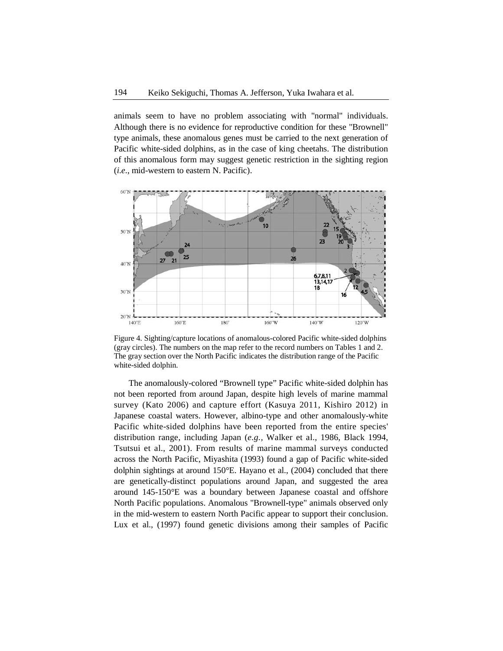animals seem to have no problem associating with "normal" individuals. Although there is no evidence for reproductive condition for these "Brownell" type animals, these anomalous genes must be carried to the next generation of Pacific white-sided dolphins, as in the case of king cheetahs. The distribution of this anomalous form may suggest genetic restriction in the sighting region (*i.e.*, mid-western to eastern N. Pacific).



Figure 4. Sighting/capture locations of anomalous-colored Pacific white-sided dolphins (gray circles). The numbers on the map refer to the record numbers on Tables 1 and 2. The gray section over the North Pacific indicates the distribution range of the Pacific white-sided dolphin.

The anomalously-colored "Brownell type" Pacific white-sided dolphin has not been reported from around Japan, despite high levels of marine mammal survey (Kato 2006) and capture effort (Kasuya 2011, Kishiro 2012) in Japanese coastal waters. However, albino-type and other anomalously-white Pacific white-sided dolphins have been reported from the entire species' distribution range, including Japan (*e.g.,* Walker et al., 1986, Black 1994, Tsutsui et al., 2001). From results of marine mammal surveys conducted across the North Pacific, Miyashita (1993) found a gap of Pacific white-sided dolphin sightings at around 150°E. Hayano et al., (2004) concluded that there are genetically-distinct populations around Japan, and suggested the area around 145-150°E was a boundary between Japanese coastal and offshore North Pacific populations. Anomalous "Brownell-type" animals observed only in the mid-western to eastern North Pacific appear to support their conclusion. Lux et al., (1997) found genetic divisions among their samples of Pacific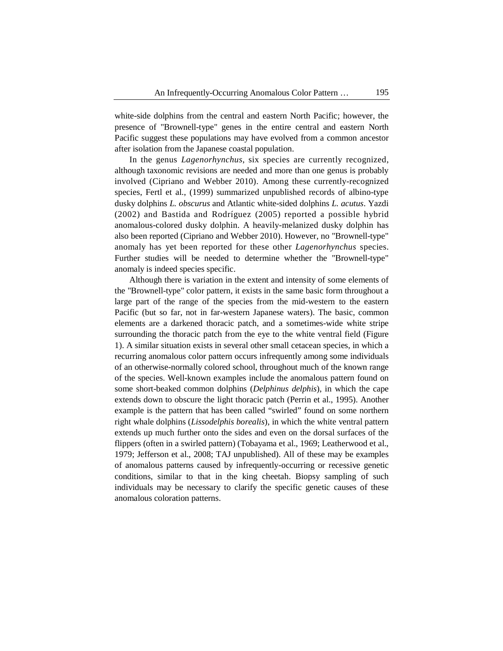white-side dolphins from the central and eastern North Pacific; however, the presence of "Brownell-type" genes in the entire central and eastern North Pacific suggest these populations may have evolved from a common ancestor after isolation from the Japanese coastal population.

In the genus *Lagenorhynchus*, six species are currently recognized, although taxonomic revisions are needed and more than one genus is probably involved (Cipriano and Webber 2010). Among these currently-recognized species, Fertl et al., (1999) summarized unpublished records of albino-type dusky dolphins *L. obscurus* and Atlantic white-sided dolphins *L. acutus*. Yazdi (2002) and Bastida and Rodríguez (2005) reported a possible hybrid anomalous-colored dusky dolphin. A heavily-melanized dusky dolphin has also been reported (Cipriano and Webber 2010). However, no "Brownell-type" anomaly has yet been reported for these other *Lagenorhynchus* species. Further studies will be needed to determine whether the "Brownell-type" anomaly is indeed species specific.

Although there is variation in the extent and intensity of some elements of the "Brownell-type" color pattern, it exists in the same basic form throughout a large part of the range of the species from the mid-western to the eastern Pacific (but so far, not in far-western Japanese waters). The basic, common elements are a darkened thoracic patch, and a sometimes-wide white stripe surrounding the thoracic patch from the eye to the white ventral field (Figure 1). A similar situation exists in several other small cetacean species, in which a recurring anomalous color pattern occurs infrequently among some individuals of an otherwise-normally colored school, throughout much of the known range of the species. Well-known examples include the anomalous pattern found on some short-beaked common dolphins (*Delphinus delphis*), in which the cape extends down to obscure the light thoracic patch (Perrin et al., 1995). Another example is the pattern that has been called "swirled" found on some northern right whale dolphins (*Lissodelphis borealis*), in which the white ventral pattern extends up much further onto the sides and even on the dorsal surfaces of the flippers (often in a swirled pattern) (Tobayama et al., 1969; Leatherwood et al., 1979; Jefferson et al., 2008; TAJ unpublished). All of these may be examples of anomalous patterns caused by infrequently-occurring or recessive genetic conditions, similar to that in the king cheetah. Biopsy sampling of such individuals may be necessary to clarify the specific genetic causes of these anomalous coloration patterns.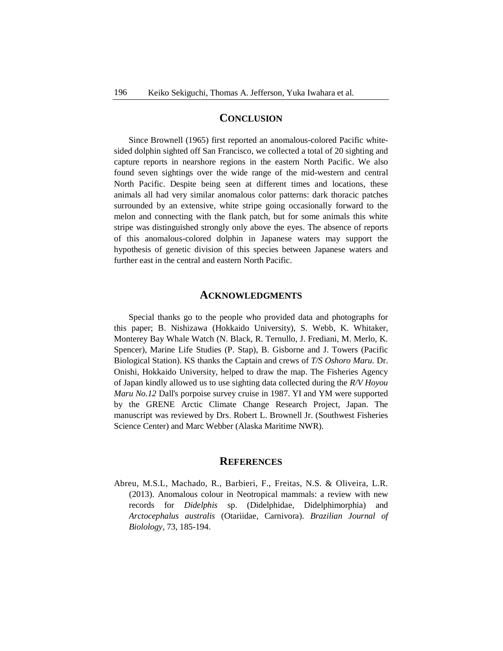### **CONCLUSION**

Since Brownell (1965) first reported an anomalous-colored Pacific whitesided dolphin sighted off San Francisco, we collected a total of 20 sighting and capture reports in nearshore regions in the eastern North Pacific. We also found seven sightings over the wide range of the mid-western and central North Pacific. Despite being seen at different times and locations, these animals all had very similar anomalous color patterns: dark thoracic patches surrounded by an extensive, white stripe going occasionally forward to the melon and connecting with the flank patch, but for some animals this white stripe was distinguished strongly only above the eyes. The absence of reports of this anomalous-colored dolphin in Japanese waters may support the hypothesis of genetic division of this species between Japanese waters and further east in the central and eastern North Pacific.

### **ACKNOWLEDGMENTS**

Special thanks go to the people who provided data and photographs for this paper; B. Nishizawa (Hokkaido University), S. Webb, K. Whitaker, Monterey Bay Whale Watch (N. Black, R. Ternullo, J. Frediani, M. Merlo, K. Spencer), Marine Life Studies (P. Stap), B. Gisborne and J. Towers (Pacific Biological Station). KS thanks the Captain and crews of *T/S Oshoro Maru.* Dr. Onishi, Hokkaido University, helped to draw the map. The Fisheries Agency of Japan kindly allowed us to use sighting data collected during the *R/V Hoyou Maru No.12* Dall's porpoise survey cruise in 1987. YI and YM were supported by the GRENE Arctic Climate Change Research Project, Japan. The manuscript was reviewed by Drs. Robert L. Brownell Jr. (Southwest Fisheries Science Center) and Marc Webber (Alaska Maritime NWR).

### **REFERENCES**

Abreu, M.S.L, Machado, R., Barbieri, F., Freitas, N.S. & Oliveira, L.R. (2013). Anomalous colour in Neotropical mammals: a review with new records for *Didelphis* sp. (Didelphidae, Didelphimorphia) and *Arctocephalus australis* (Otariidae, Carnivora). *Brazilian Journal of Biolology*, 73, 185-194.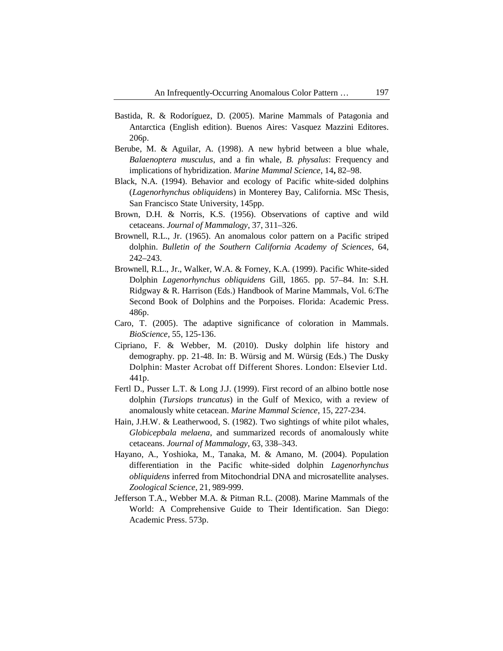- Bastida, R. & Rodoríguez, D. (2005). Marine Mammals of Patagonia and Antarctica (English edition). Buenos Aires: Vasquez Mazzini Editores. 206p.
- Berube, M. & Aguilar, A. (1998). A new hybrid between a blue whale, *Balaenoptera musculus*, and a fin whale, *B. physalus*: Frequency and implications of hybridization. *Marine Mammal Science*, 14**,** 82–98.
- Black, N.A. (1994). Behavior and ecology of Pacific white-sided dolphins (*Lagenorhynchus obliquidens*) in Monterey Bay, California. MSc Thesis, San Francisco State University, 145pp.
- Brown, D.H. & Norris, K.S. (1956). Observations of captive and wild cetaceans. *Journal of Mammalogy*, 37, 311–326.
- Brownell, R.L., Jr. (1965). An anomalous color pattern on a Pacific striped dolphin. *Bulletin of the Southern California Academy of Sciences*, 64, 242–243.
- Brownell, R.L., Jr., Walker, W.A. & Forney, K.A. (1999). Pacific White-sided Dolphin *Lagenorhynchus obliquidens* Gill, 1865. pp. 57–84. In: S.H. Ridgway & R. Harrison (Eds.) Handbook of Marine Mammals, Vol. 6:The Second Book of Dolphins and the Porpoises. Florida: Academic Press. 486p.
- Caro, T. (2005). The adaptive significance of coloration in Mammals. *BioScience*, 55, 125-136.
- Cipriano, F. & Webber, M. (2010). Dusky dolphin life history and demography. pp. 21-48. In: B. Würsig and M. Würsig (Eds.) The Dusky Dolphin: Master Acrobat off Different Shores. London: Elsevier Ltd. 441p.
- Fertl D., Pusser L.T. & Long J.J. (1999). First record of an albino bottle nose dolphin (*Tursiops truncatus*) in the Gulf of Mexico, with a review of anomalously white cetacean. *Marine Mammal Science*, 15, 227-234.
- Hain, J.H.W. & Leatherwood, S. (1982). Two sightings of white pilot whales, *Globicepbala melaena*, and summarized records of anomalously white cetaceans. *Journal of Mammalogy*, 63, 338–343.
- Hayano, A., Yoshioka, M., Tanaka, M. & Amano, M. (2004). Population differentiation in the Pacific white-sided dolphin *Lagenorhynchus obliquidens* inferred from Mitochondrial DNA and microsatellite analyses. *Zoological Science*, 21, 989-999.
- Jefferson T.A., Webber M.A. & Pitman R.L. (2008). Marine Mammals of the World: A Comprehensive Guide to Their Identification. San Diego: Academic Press. 573p.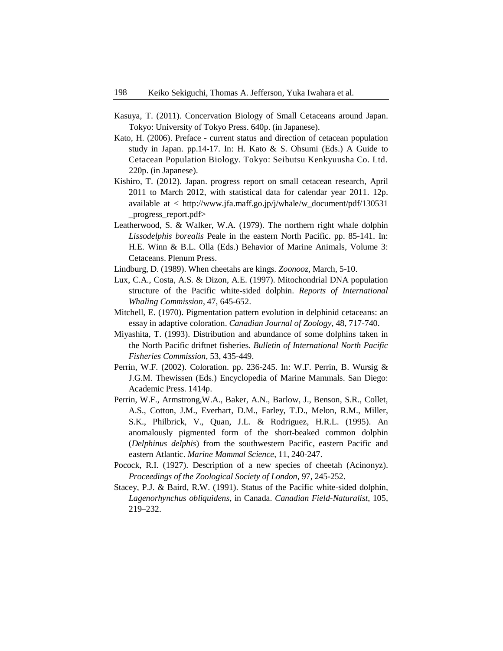- Kasuya, T. (2011). Concervation Biology of Small Cetaceans around Japan. Tokyo: University of Tokyo Press. 640p. (in Japanese).
- Kato, H. (2006). Preface current status and direction of cetacean population study in Japan. pp.14-17. In: H. Kato & S. Ohsumi (Eds.) A Guide to Cetacean Population Biology. Tokyo: Seibutsu Kenkyuusha Co. Ltd. 220p. (in Japanese).
- Kishiro, T. (2012). Japan. progress report on small cetacean research, April 2011 to March 2012, with statistical data for calendar year 2011. 12p. available at < http://www.jfa.maff.go.jp/j/whale/w\_document/pdf/130531 \_progress\_report.pdf>
- Leatherwood, S. & Walker, W.A. (1979). The northern right whale dolphin *Lissodelphis borealis* Peale in the eastern North Pacific. pp. 85-141. In: H.E. Winn & B.L. Olla (Eds.) Behavior of Marine Animals, Volume 3: Cetaceans. Plenum Press.
- Lindburg, D. (1989). When cheetahs are kings. *Zoonooz,* March, 5-10.
- Lux, C.A., Costa, A.S. & Dizon, A.E. (1997). Mitochondrial DNA population structure of the Pacific white-sided dolphin. *Reports of International Whaling Commission*, 47, 645-652.
- Mitchell, E. (1970). Pigmentation pattern evolution in delphinid cetaceans: an essay in adaptive coloration. *Canadian Journal of Zoology,* 48, 717-740.
- Miyashita, T. (1993). Distribution and abundance of some dolphins taken in the North Pacific driftnet fisheries. *Bulletin of International North Pacific Fisheries Commission*, 53, 435-449.
- Perrin, W.F. (2002). Coloration. pp. 236-245. In: W.F. Perrin, B. Wursig & J.G.M. Thewissen (Eds.) Encyclopedia of Marine Mammals. San Diego: Academic Press. 1414p.
- Perrin, W.F., Armstrong,W.A., Baker, A.N., Barlow, J., Benson, S.R., Collet, A.S., Cotton, J.M., Everhart, D.M., Farley, T.D., Melon, R.M., Miller, S.K., Philbrick, V., Quan, J.L. & Rodriguez, H.R.L. (1995). An anomalously pigmented form of the short-beaked common dolphin (*Delphinus delphis*) from the southwestern Pacific, eastern Pacific and eastern Atlantic. *Marine Mammal Science*, 11, 240-247.
- Pocock, R.I. (1927). Description of a new species of cheetah (Acinonyz). *Proceedings of the Zoological Society of London*, 97, 245-252.
- Stacey, P.J. & Baird, R.W. (1991). Status of the Pacific white-sided dolphin, *Lagenorhynchus obliquidens*, in Canada. *Canadian Field-Naturalist*, 105, 219–232.